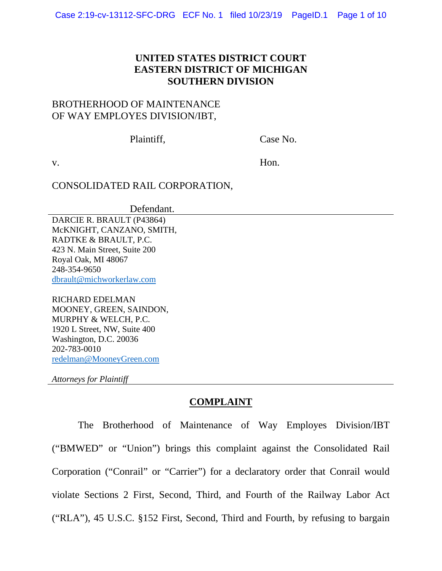# **UNITED STATES DISTRICT COURT EASTERN DISTRICT OF MICHIGAN SOUTHERN DIVISION**

# BROTHERHOOD OF MAINTENANCE OF WAY EMPLOYES DIVISION/IBT,

Plaintiff, Case No.

v. Hon.

# CONSOLIDATED RAIL CORPORATION,

Defendant.

DARCIE R. BRAULT (P43864) McKNIGHT, CANZANO, SMITH, RADTKE & BRAULT, P.C. 423 N. Main Street, Suite 200 Royal Oak, MI 48067 248-354-9650 dbrault@michworkerlaw.com

RICHARD EDELMAN MOONEY, GREEN, SAINDON, MURPHY & WELCH, P.C. 1920 L Street, NW, Suite 400 Washington, D.C. 20036 202-783-0010 redelman@MooneyGreen.com

*Attorneys for Plaintiff*

# **COMPLAINT**

 The Brotherhood of Maintenance of Way Employes Division/IBT ("BMWED" or "Union") brings this complaint against the Consolidated Rail Corporation ("Conrail" or "Carrier") for a declaratory order that Conrail would violate Sections 2 First, Second, Third, and Fourth of the Railway Labor Act ("RLA"), 45 U.S.C. §152 First, Second, Third and Fourth, by refusing to bargain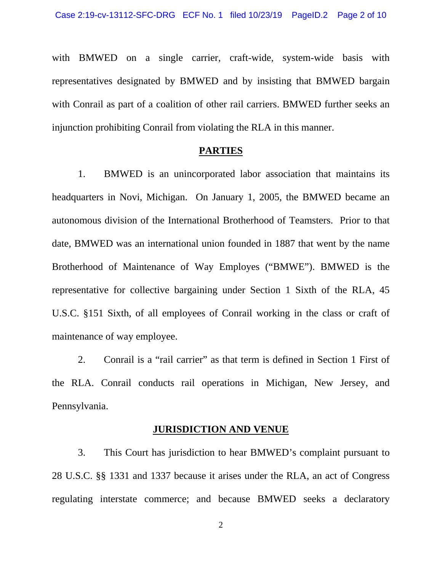with BMWED on a single carrier, craft-wide, system-wide basis with representatives designated by BMWED and by insisting that BMWED bargain with Conrail as part of a coalition of other rail carriers. BMWED further seeks an injunction prohibiting Conrail from violating the RLA in this manner.

### **PARTIES**

 1. BMWED is an unincorporated labor association that maintains its headquarters in Novi, Michigan. On January 1, 2005, the BMWED became an autonomous division of the International Brotherhood of Teamsters. Prior to that date, BMWED was an international union founded in 1887 that went by the name Brotherhood of Maintenance of Way Employes ("BMWE"). BMWED is the representative for collective bargaining under Section 1 Sixth of the RLA, 45 U.S.C. §151 Sixth, of all employees of Conrail working in the class or craft of maintenance of way employee.

 2. Conrail is a "rail carrier" as that term is defined in Section 1 First of the RLA. Conrail conducts rail operations in Michigan, New Jersey, and Pennsylvania.

#### **JURISDICTION AND VENUE**

 3. This Court has jurisdiction to hear BMWED's complaint pursuant to 28 U.S.C. §§ 1331 and 1337 because it arises under the RLA, an act of Congress regulating interstate commerce; and because BMWED seeks a declaratory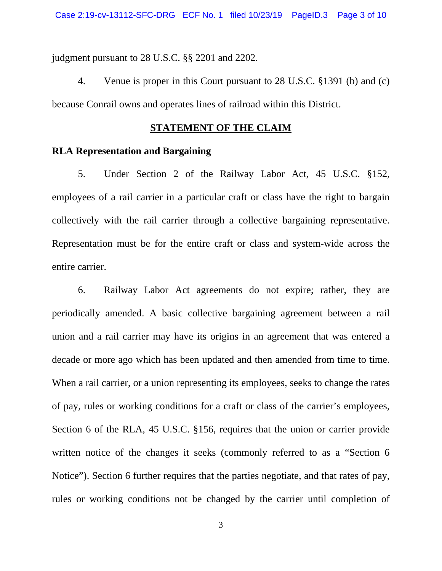judgment pursuant to 28 U.S.C. §§ 2201 and 2202.

 4. Venue is proper in this Court pursuant to 28 U.S.C. §1391 (b) and (c) because Conrail owns and operates lines of railroad within this District.

## **STATEMENT OF THE CLAIM**

## **RLA Representation and Bargaining**

 5. Under Section 2 of the Railway Labor Act, 45 U.S.C. §152, employees of a rail carrier in a particular craft or class have the right to bargain collectively with the rail carrier through a collective bargaining representative. Representation must be for the entire craft or class and system-wide across the entire carrier.

 6. Railway Labor Act agreements do not expire; rather, they are periodically amended. A basic collective bargaining agreement between a rail union and a rail carrier may have its origins in an agreement that was entered a decade or more ago which has been updated and then amended from time to time. When a rail carrier, or a union representing its employees, seeks to change the rates of pay, rules or working conditions for a craft or class of the carrier's employees, Section 6 of the RLA, 45 U.S.C. §156, requires that the union or carrier provide written notice of the changes it seeks (commonly referred to as a "Section 6 Notice"). Section 6 further requires that the parties negotiate, and that rates of pay, rules or working conditions not be changed by the carrier until completion of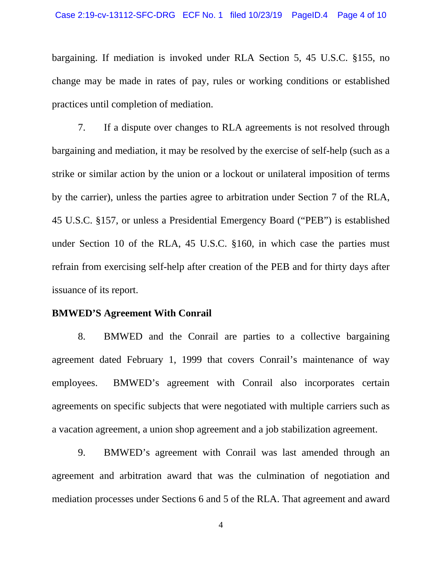bargaining. If mediation is invoked under RLA Section 5, 45 U.S.C. §155, no change may be made in rates of pay, rules or working conditions or established practices until completion of mediation.

 7. If a dispute over changes to RLA agreements is not resolved through bargaining and mediation, it may be resolved by the exercise of self-help (such as a strike or similar action by the union or a lockout or unilateral imposition of terms by the carrier), unless the parties agree to arbitration under Section 7 of the RLA, 45 U.S.C. §157, or unless a Presidential Emergency Board ("PEB") is established under Section 10 of the RLA, 45 U.S.C. §160, in which case the parties must refrain from exercising self-help after creation of the PEB and for thirty days after issuance of its report.

#### **BMWED'S Agreement With Conrail**

 8. BMWED and the Conrail are parties to a collective bargaining agreement dated February 1, 1999 that covers Conrail's maintenance of way employees. BMWED's agreement with Conrail also incorporates certain agreements on specific subjects that were negotiated with multiple carriers such as a vacation agreement, a union shop agreement and a job stabilization agreement.

 9. BMWED's agreement with Conrail was last amended through an agreement and arbitration award that was the culmination of negotiation and mediation processes under Sections 6 and 5 of the RLA. That agreement and award

4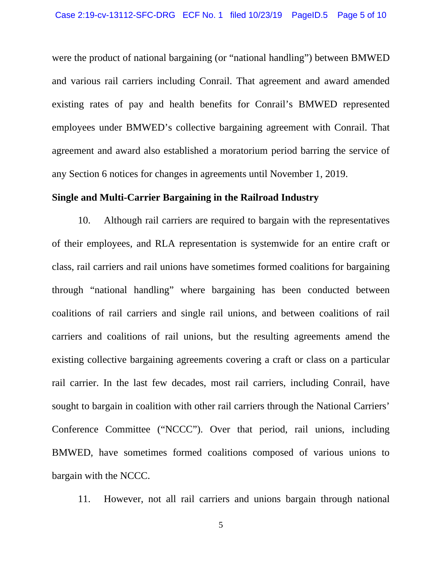were the product of national bargaining (or "national handling") between BMWED and various rail carriers including Conrail. That agreement and award amended existing rates of pay and health benefits for Conrail's BMWED represented employees under BMWED's collective bargaining agreement with Conrail. That agreement and award also established a moratorium period barring the service of any Section 6 notices for changes in agreements until November 1, 2019.

### **Single and Multi-Carrier Bargaining in the Railroad Industry**

 10. Although rail carriers are required to bargain with the representatives of their employees, and RLA representation is systemwide for an entire craft or class, rail carriers and rail unions have sometimes formed coalitions for bargaining through "national handling" where bargaining has been conducted between coalitions of rail carriers and single rail unions, and between coalitions of rail carriers and coalitions of rail unions, but the resulting agreements amend the existing collective bargaining agreements covering a craft or class on a particular rail carrier. In the last few decades, most rail carriers, including Conrail, have sought to bargain in coalition with other rail carriers through the National Carriers' Conference Committee ("NCCC"). Over that period, rail unions, including BMWED, have sometimes formed coalitions composed of various unions to bargain with the NCCC.

11. However, not all rail carriers and unions bargain through national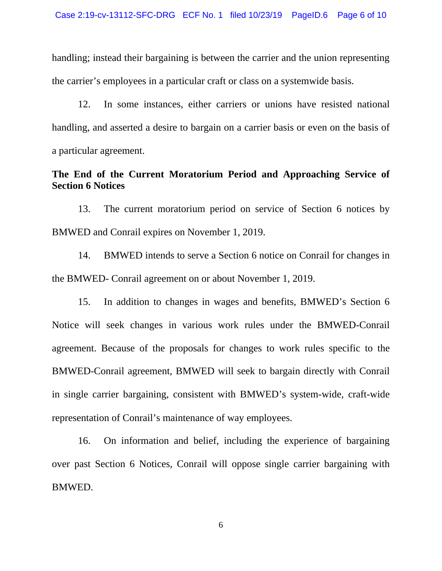handling; instead their bargaining is between the carrier and the union representing the carrier's employees in a particular craft or class on a systemwide basis.

 12. In some instances, either carriers or unions have resisted national handling, and asserted a desire to bargain on a carrier basis or even on the basis of a particular agreement.

# **The End of the Current Moratorium Period and Approaching Service of Section 6 Notices**

 13. The current moratorium period on service of Section 6 notices by BMWED and Conrail expires on November 1, 2019.

 14. BMWED intends to serve a Section 6 notice on Conrail for changes in the BMWED- Conrail agreement on or about November 1, 2019.

 15. In addition to changes in wages and benefits, BMWED's Section 6 Notice will seek changes in various work rules under the BMWED-Conrail agreement. Because of the proposals for changes to work rules specific to the BMWED-Conrail agreement, BMWED will seek to bargain directly with Conrail in single carrier bargaining, consistent with BMWED's system-wide, craft-wide representation of Conrail's maintenance of way employees.

 16. On information and belief, including the experience of bargaining over past Section 6 Notices, Conrail will oppose single carrier bargaining with BMWED.

6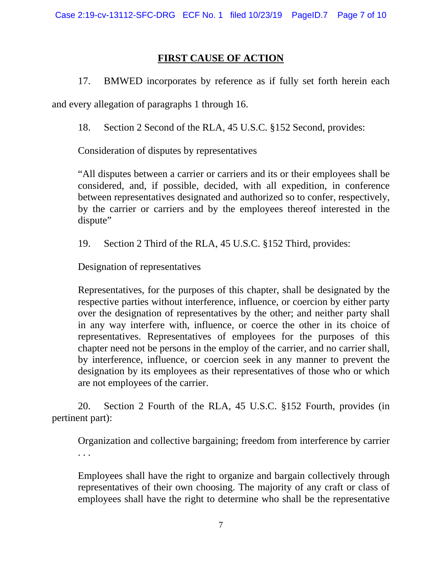# **FIRST CAUSE OF ACTION**

17. BMWED incorporates by reference as if fully set forth herein each

and every allegation of paragraphs 1 through 16.

18. Section 2 Second of the RLA, 45 U.S.C. §152 Second, provides:

Consideration of disputes by representatives

"All disputes between a carrier or carriers and its or their employees shall be considered, and, if possible, decided, with all expedition, in conference between representatives designated and authorized so to confer, respectively, by the carrier or carriers and by the employees thereof interested in the dispute"

19. Section 2 Third of the RLA, 45 U.S.C. §152 Third, provides:

Designation of representatives

Representatives, for the purposes of this chapter, shall be designated by the respective parties without interference, influence, or coercion by either party over the designation of representatives by the other; and neither party shall in any way interfere with, influence, or coerce the other in its choice of representatives. Representatives of employees for the purposes of this chapter need not be persons in the employ of the carrier, and no carrier shall, by interference, influence, or coercion seek in any manner to prevent the designation by its employees as their representatives of those who or which are not employees of the carrier.

 20. Section 2 Fourth of the RLA, 45 U.S.C. §152 Fourth, provides (in pertinent part):

Organization and collective bargaining; freedom from interference by carrier . . .

Employees shall have the right to organize and bargain collectively through representatives of their own choosing. The majority of any craft or class of employees shall have the right to determine who shall be the representative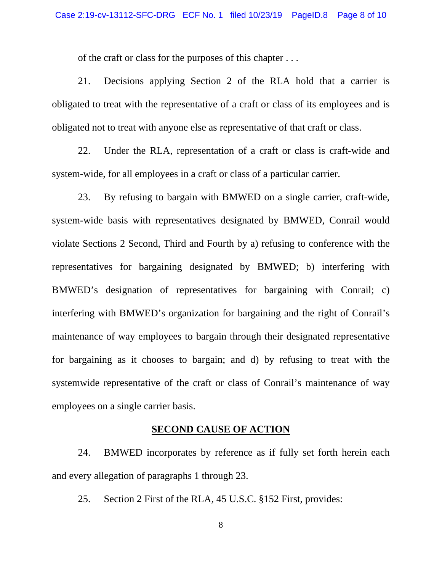of the craft or class for the purposes of this chapter . . .

 21. Decisions applying Section 2 of the RLA hold that a carrier is obligated to treat with the representative of a craft or class of its employees and is obligated not to treat with anyone else as representative of that craft or class.

 22. Under the RLA, representation of a craft or class is craft-wide and system-wide, for all employees in a craft or class of a particular carrier.

 23. By refusing to bargain with BMWED on a single carrier, craft-wide, system-wide basis with representatives designated by BMWED, Conrail would violate Sections 2 Second, Third and Fourth by a) refusing to conference with the representatives for bargaining designated by BMWED; b) interfering with BMWED's designation of representatives for bargaining with Conrail; c) interfering with BMWED's organization for bargaining and the right of Conrail's maintenance of way employees to bargain through their designated representative for bargaining as it chooses to bargain; and d) by refusing to treat with the systemwide representative of the craft or class of Conrail's maintenance of way employees on a single carrier basis.

### **SECOND CAUSE OF ACTION**

 24. BMWED incorporates by reference as if fully set forth herein each and every allegation of paragraphs 1 through 23.

25. Section 2 First of the RLA, 45 U.S.C. §152 First, provides:

8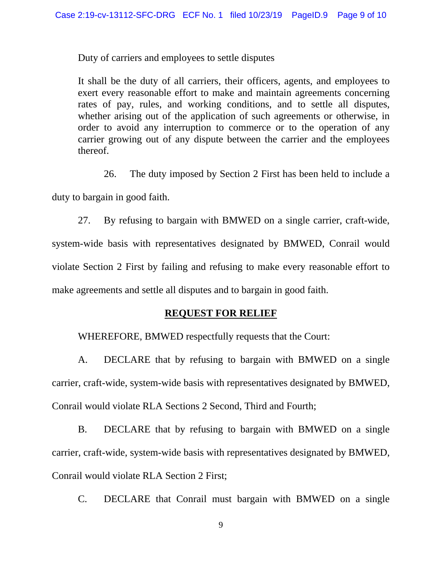Duty of carriers and employees to settle disputes

It shall be the duty of all carriers, their officers, agents, and employees to exert every reasonable effort to make and maintain agreements concerning rates of pay, rules, and working conditions, and to settle all disputes, whether arising out of the application of such agreements or otherwise, in order to avoid any interruption to commerce or to the operation of any carrier growing out of any dispute between the carrier and the employees thereof.

 26. The duty imposed by Section 2 First has been held to include a duty to bargain in good faith.

 27. By refusing to bargain with BMWED on a single carrier, craft-wide, system-wide basis with representatives designated by BMWED, Conrail would violate Section 2 First by failing and refusing to make every reasonable effort to make agreements and settle all disputes and to bargain in good faith.

## **REQUEST FOR RELIEF**

WHEREFORE, BMWED respectfully requests that the Court:

 A. DECLARE that by refusing to bargain with BMWED on a single carrier, craft-wide, system-wide basis with representatives designated by BMWED, Conrail would violate RLA Sections 2 Second, Third and Fourth;

 B. DECLARE that by refusing to bargain with BMWED on a single carrier, craft-wide, system-wide basis with representatives designated by BMWED, Conrail would violate RLA Section 2 First;

C. DECLARE that Conrail must bargain with BMWED on a single